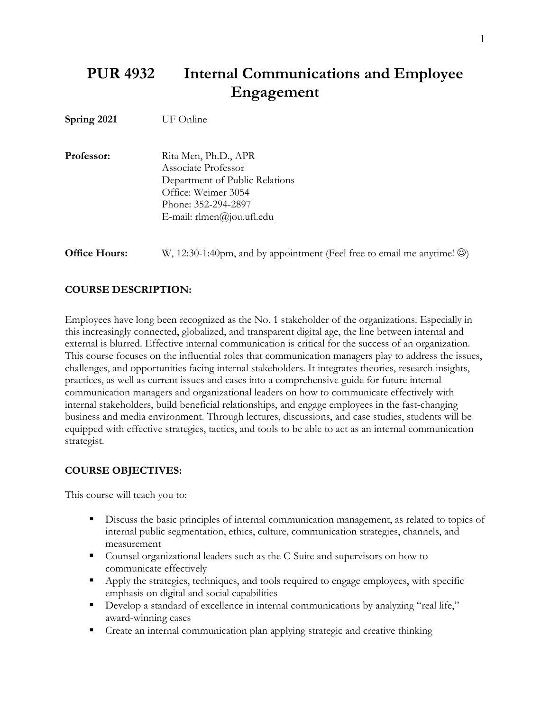# **PUR 4932 Internal Communications and Employee Engagement**

**Spring 2021** UF Online

| Rita Men, Ph.D., APR           |
|--------------------------------|
| Associate Professor            |
| Department of Public Relations |
| Office: Weimer 3054            |
| Phone: 352-294-2897            |
| E-mail: rlmen@jou.ufl.edu      |
|                                |

**Office Hours:** W, 12:30-1:40pm, and by appointment (Feel free to email me anytime!  $\circledcirc$ )

### **COURSE DESCRIPTION:**

Employees have long been recognized as the No. 1 stakeholder of the organizations. Especially in this increasingly connected, globalized, and transparent digital age, the line between internal and external is blurred. Effective internal communication is critical for the success of an organization. This course focuses on the influential roles that communication managers play to address the issues, challenges, and opportunities facing internal stakeholders. It integrates theories, research insights, practices, as well as current issues and cases into a comprehensive guide for future internal communication managers and organizational leaders on how to communicate effectively with internal stakeholders, build beneficial relationships, and engage employees in the fast-changing business and media environment. Through lectures, discussions, and case studies, students will be equipped with effective strategies, tactics, and tools to be able to act as an internal communication strategist.

#### **COURSE OBJECTIVES:**

This course will teach you to:

- § Discuss the basic principles of internal communication management, as related to topics of internal public segmentation, ethics, culture, communication strategies, channels, and measurement
- Counsel organizational leaders such as the C-Suite and supervisors on how to communicate effectively
- Apply the strategies, techniques, and tools required to engage employees, with specific emphasis on digital and social capabilities
- Develop a standard of excellence in internal communications by analyzing "real life," award-winning cases
- Create an internal communication plan applying strategic and creative thinking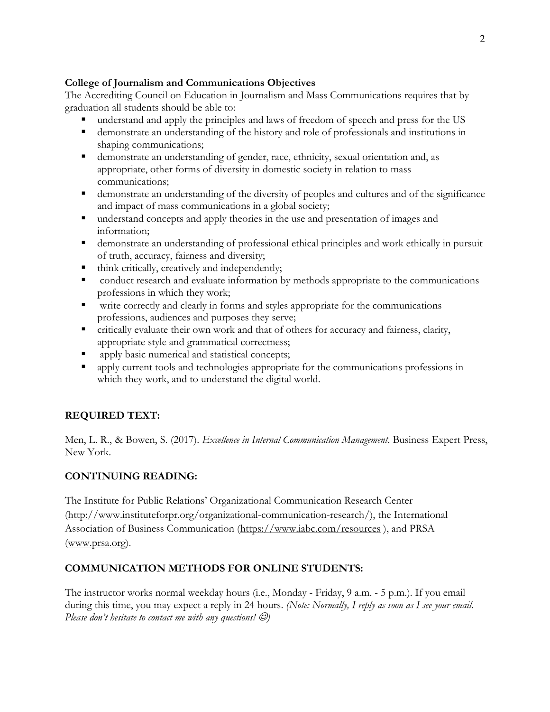## **College of Journalism and Communications Objectives**

The Accrediting Council on Education in Journalism and Mass Communications requires that by graduation all students should be able to:

- § understand and apply the principles and laws of freedom of speech and press for the US
- demonstrate an understanding of the history and role of professionals and institutions in shaping communications;
- demonstrate an understanding of gender, race, ethnicity, sexual orientation and, as appropriate, other forms of diversity in domestic society in relation to mass communications;
- demonstrate an understanding of the diversity of peoples and cultures and of the significance and impact of mass communications in a global society;
- understand concepts and apply theories in the use and presentation of images and information;
- demonstrate an understanding of professional ethical principles and work ethically in pursuit of truth, accuracy, fairness and diversity;
- think critically, creatively and independently;
- conduct research and evaluate information by methods appropriate to the communications professions in which they work;
- § write correctly and clearly in forms and styles appropriate for the communications professions, audiences and purposes they serve;
- critically evaluate their own work and that of others for accuracy and fairness, clarity, appropriate style and grammatical correctness;
- apply basic numerical and statistical concepts;
- apply current tools and technologies appropriate for the communications professions in which they work, and to understand the digital world.

## **REQUIRED TEXT:**

Men, L. R., & Bowen, S. (2017). *Excellence in Internal Communication Management*. Business Expert Press, New York.

## **CONTINUING READING:**

The Institute for Public Relations' Organizational Communication Research Center (http://www.instituteforpr.org/organizational-communication-research/), the International Association of Business Communication (https://www.iabc.com/resources ), and PRSA (www.prsa.org).

## **COMMUNICATION METHODS FOR ONLINE STUDENTS:**

The instructor works normal weekday hours (i.e., Monday - Friday, 9 a.m. - 5 p.m.). If you email during this time, you may expect a reply in 24 hours. *(Note: Normally, I reply as soon as I see your email. Please don't hesitate to contact me with any questions!*  $\Theta$ *)*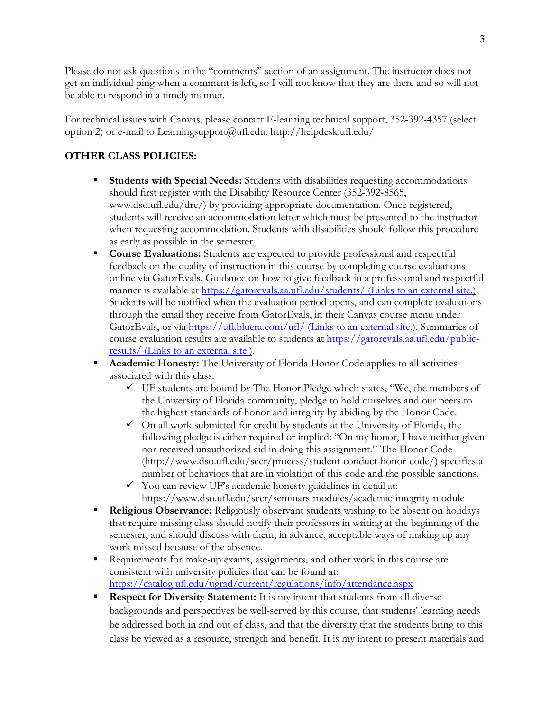Please do not ask questions in the "comments" section of an assignment. The instructor does not get an individual ping when a comment is left, so I will not know that they are there and so will not be able to respond in a timely manner.

For technical issues with Canvas, please contact E-learning technical support, 352-392-4357 (select option 2) or e-mail to Learningsupport@ufl.edu. http://helpdesk.ufl.edu/

## **OTHER CLASS POLICIES:**

- § **Students with Special Needs:** Students with disabilities requesting accommodations should first register with the Disability Resource Center (352-392-8565, www.dso.ufl.edu/drc/) by providing appropriate documentation. Once registered, students will receive an accommodation letter which must be presented to the instructor when requesting accommodation. Students with disabilities should follow this procedure as early as possible in the semester.
- § **Course Evaluations:** Students are expected to provide professional and respectful feedback on the quality of instruction in this course by completing course evaluations online via GatorEvals. Guidance on how to give feedback in a professional and respectful manner is available at https://gatorevals.aa.ufl.edu/students/ (Links to an external site.). Students will be notified when the evaluation period opens, and can complete evaluations through the email they receive from GatorEvals, in their Canvas course menu under GatorEvals, or via https://ufl.bluera.com/ufl/ (Links to an external site.). Summaries of course evaluation results are available to students at https://gatorevals.aa.ufl.edu/publicresults/ (Links to an external site.).
- § **Academic Honesty:** The University of Florida Honor Code applies to all activities associated with this class.
	- $\checkmark$  UF students are bound by The Honor Pledge which states, "We, the members of the University of Florida community, pledge to hold ourselves and our peers to the highest standards of honor and integrity by abiding by the Honor Code.
	- $\checkmark$  On all work submitted for credit by students at the University of Florida, the following pledge is either required or implied: "On my honor, I have neither given nor received unauthorized aid in doing this assignment." The Honor Code (http://www.dso.ufl.edu/sccr/process/student-conduct-honor-code/) specifies a number of behaviors that are in violation of this code and the possible sanctions.
	- $\checkmark$  You can review UF's academic honesty guidelines in detail at: https://www.dso.ufl.edu/sccr/seminars-modules/academic-integrity-module
- § **Religious Observance:** Religiously observant students wishing to be absent on holidays that require missing class should notify their professors in writing at the beginning of the semester, and should discuss with them, in advance, acceptable ways of making up any work missed because of the absence.
- Requirements for make-up exams, assignments, and other work in this course are consistent with university policies that can be found at: https://catalog.ufl.edu/ugrad/current/regulations/info/attendance.aspx
- **Respect for Diversity Statement:** It is my intent that students from all diverse backgrounds and perspectives be well-served by this course, that students' learning needs be addressed both in and out of class, and that the diversity that the students bring to this class be viewed as a resource, strength and benefit. It is my intent to present materials and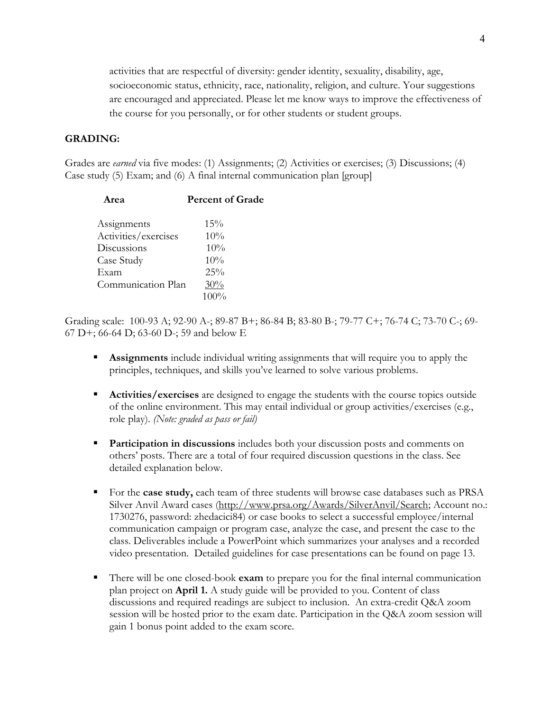activities that are respectful of diversity: gender identity, sexuality, disability, age, socioeconomic status, ethnicity, race, nationality, religion, and culture. Your suggestions are encouraged and appreciated. Please let me know ways to improve the effectiveness of the course for you personally, or for other students or student groups.

### **GRADING:**

Grades are *earned* via five modes: (1) Assignments; (2) Activities or exercises; (3) Discussions; (4) Case study (5) Exam; and (6) A final internal communication plan [group]

| Area                 | <b>Percent of Grade</b> |
|----------------------|-------------------------|
| Assignments          | 15%                     |
| Activities/exercises | 10%                     |
| Discussions          | 10%                     |
| Case Study           | 10%                     |
| Exam                 | 25%                     |
| Communication Plan   | 30%                     |
|                      | $100\%$                 |

Grading scale: 100-93 A; 92-90 A-; 89-87 B+; 86-84 B; 83-80 B-; 79-77 C+; 76-74 C; 73-70 C-; 69- 67 D+; 66-64 D; 63-60 D-; 59 and below E

- **Assignments** include individual writing assignments that will require you to apply the principles, techniques, and skills you've learned to solve various problems.
- § **Activities/exercises** are designed to engage the students with the course topics outside of the online environment. This may entail individual or group activities/exercises (e.g., role play). *(Note: graded as pass or fail)*
- **Participation in discussions** includes both your discussion posts and comments on others' posts. There are a total of four required discussion questions in the class. See detailed explanation below.
- § For the **case study,** each team of three students will browse case databases such as PRSA Silver Anvil Award cases (http://www.prsa.org/Awards/SilverAnvil/Search; Account no.: 1730276, password: zhedacici84) or case books to select a successful employee/internal communication campaign or program case, analyze the case, and present the case to the class. Deliverables include a PowerPoint which summarizes your analyses and a recorded video presentation. Detailed guidelines for case presentations can be found on page 13.
- § There will be one closed-book **exam** to prepare you for the final internal communication plan project on **April 1.** A study guide will be provided to you. Content of class discussions and required readings are subject to inclusion. An extra-credit Q&A zoom session will be hosted prior to the exam date. Participation in the Q&A zoom session will gain 1 bonus point added to the exam score.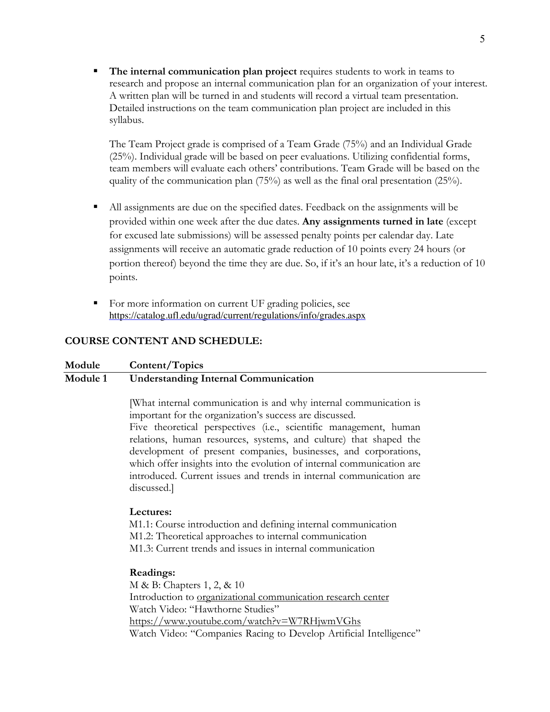§ **The internal communication plan project** requires students to work in teams to research and propose an internal communication plan for an organization of your interest. A written plan will be turned in and students will record a virtual team presentation. Detailed instructions on the team communication plan project are included in this syllabus.

The Team Project grade is comprised of a Team Grade (75%) and an Individual Grade (25%). Individual grade will be based on peer evaluations. Utilizing confidential forms, team members will evaluate each others' contributions. Team Grade will be based on the quality of the communication plan (75%) as well as the final oral presentation (25%).

- All assignments are due on the specified dates. Feedback on the assignments will be provided within one week after the due dates. **Any assignments turned in late** (except for excused late submissions) will be assessed penalty points per calendar day. Late assignments will receive an automatic grade reduction of 10 points every 24 hours (or portion thereof) beyond the time they are due. So, if it's an hour late, it's a reduction of 10 points.
- For more information on current UF grading policies, see https://catalog.ufl.edu/ugrad/current/regulations/info/grades.aspx

#### **COURSE CONTENT AND SCHEDULE:**

#### **Module Content/Topics Module 1 Understanding Internal Communication**

[What internal communication is and why internal communication is important for the organization's success are discussed.

Five theoretical perspectives (i.e., scientific management, human relations, human resources, systems, and culture) that shaped the development of present companies, businesses, and corporations, which offer insights into the evolution of internal communication are introduced. Current issues and trends in internal communication are discussed.]

#### **Lectures:**

 M1.1: Course introduction and defining internal communication M1.2: Theoretical approaches to internal communication M1.3: Current trends and issues in internal communication

#### **Readings:**

M & B: Chapters 1, 2, & 10 Introduction to organizational communication research center Watch Video: "Hawthorne Studies" https://www.youtube.com/watch?v=W7RHjwmVGhs Watch Video: "Companies Racing to Develop Artificial Intelligence"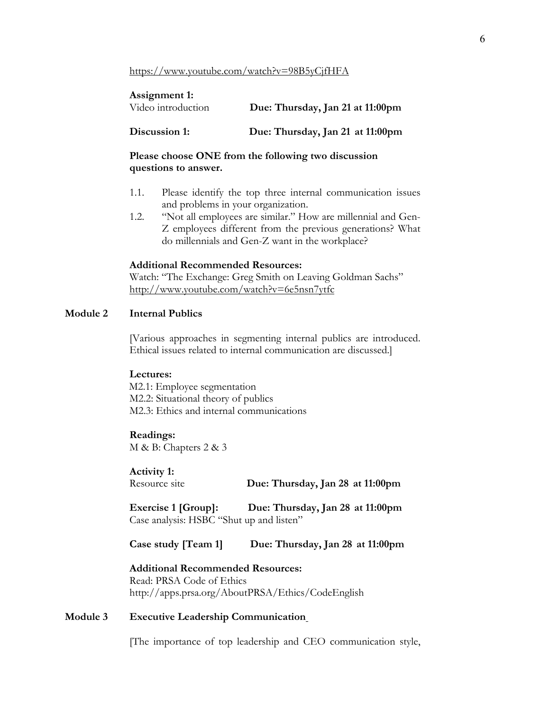#### https://www.youtube.com/watch?v=98B5yCjfHFA

| Assignment 1:<br>Video introduction | Due: Thursday, Jan 21 at 11:00pm |
|-------------------------------------|----------------------------------|
| Discussion 1:                       | Due: Thursday, Jan 21 at 11:00pm |

**Please choose ONE from the following two discussion questions to answer.**

- 1.1. Please identify the top three internal communication issues and problems in your organization.
- 1.2. "Not all employees are similar." How are millennial and Gen-Z employees different from the previous generations? What do millennials and Gen-Z want in the workplace?

#### **Additional Recommended Resources:**

Watch: "The Exchange: Greg Smith on Leaving Goldman Sachs" http://www.youtube.com/watch?v=6e5nsn7ytfc

### **Module 2 Internal Publics**

[Various approaches in segmenting internal publics are introduced. Ethical issues related to internal communication are discussed.]

#### **Lectures:**

 M2.1: Employee segmentation M2.2: Situational theory of publics M2.3: Ethics and internal communications

#### **Readings:**

M & B: Chapters 2 & 3

**Activity 1:** 

| Resource site | Due: Thursday, Jan 28 at 11:00pm |  |  |
|---------------|----------------------------------|--|--|
|---------------|----------------------------------|--|--|

**Exercise 1 [Group]: Due: Thursday, Jan 28 at 11:00pm** Case analysis: HSBC "Shut up and listen"

**Case study [Team 1] Due: Thursday, Jan 28 at 11:00pm**

**Additional Recommended Resources:** Read: PRSA Code of Ethics http://apps.prsa.org/AboutPRSA/Ethics/CodeEnglish

#### **Module 3 Executive Leadership Communication**

[The importance of top leadership and CEO communication style,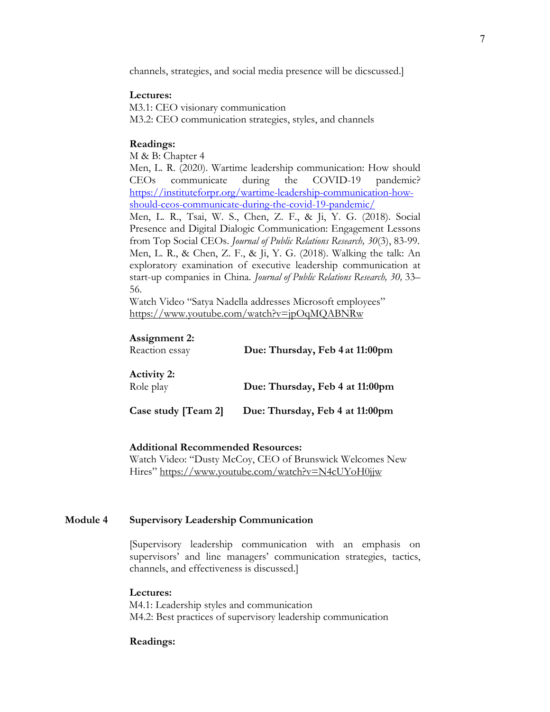channels, strategies, and social media presence will be dicscussed.]

#### **Lectures:**

 M3.1: CEO visionary communication M3.2: CEO communication strategies, styles, and channels

#### **Readings:**

M & B: Chapter 4

Men, L. R. (2020). Wartime leadership communication: How should CEOs communicate during the COVID-19 pandemic? https://instituteforpr.org/wartime-leadership-communication-howshould-ceos-communicate-during-the-covid-19-pandemic/

Men, L. R., Tsai, W. S., Chen, Z. F., & Ji, Y. G. (2018). Social Presence and Digital Dialogic Communication: Engagement Lessons from Top Social CEOs. *Journal of Public Relations Research, 30*(3), 83-99. Men, L. R., & Chen, Z. F., & Ji, Y. G. (2018). Walking the talk: An exploratory examination of executive leadership communication at start-up companies in China. *Journal of Public Relations Research, 30,* 33– 56.

Watch Video "Satya Nadella addresses Microsoft employees" https://www.youtube.com/watch?v=jpOqMQABNRw

#### **Assignment 2:**

| Reaction essay                  | Due: Thursday, Feb 4 at 11:00pm |  |  |
|---------------------------------|---------------------------------|--|--|
| <b>Activity 2:</b><br>Role play | Due: Thursday, Feb 4 at 11:00pm |  |  |
| Case study [Team 2]             | Due: Thursday, Feb 4 at 11:00pm |  |  |

#### **Additional Recommended Resources:**

Watch Video: "Dusty McCoy, CEO of Brunswick Welcomes New Hires" https://www.youtube.com/watch?v=N4cUYoH0jjw

#### **Module 4 Supervisory Leadership Communication**

[Supervisory leadership communication with an emphasis on supervisors' and line managers' communication strategies, tactics, channels, and effectiveness is discussed.]

#### **Lectures:**

 M4.1: Leadership styles and communication M4.2: Best practices of supervisory leadership communication

#### **Readings:**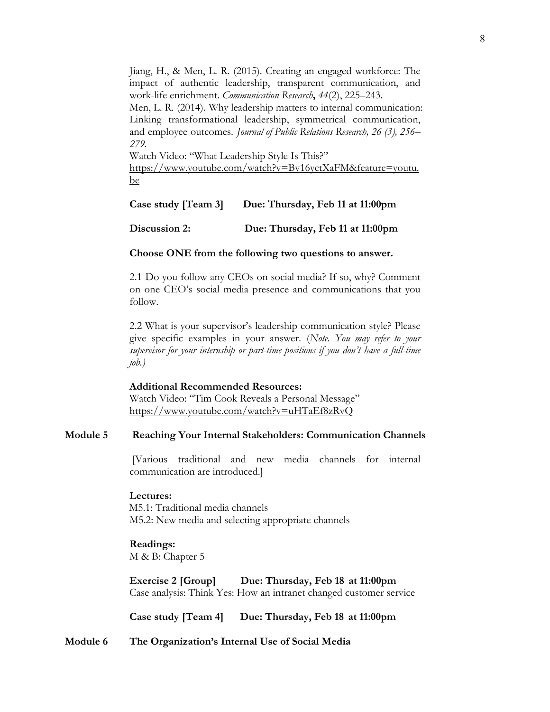Jiang, H., & Men, L. R. (2015). Creating an engaged workforce: The impact of authentic leadership, transparent communication, and work-life enrichment. *Communication Research***,** *44*(2), 225–243.

Men, L. R. (2014). Why leadership matters to internal communication: Linking transformational leadership, symmetrical communication, and employee outcomes. *Journal of Public Relations Research, 26 (3), 256– 279.*

Watch Video: "What Leadership Style Is This?" https://www.youtube.com/watch?v=Bv16yctXaFM&feature=youtu. be

#### **Case study [Team 3] Due: Thursday, Feb 11 at 11:00pm**

**Discussion 2: Due: Thursday, Feb 11 at 11:00pm**

#### **Choose ONE from the following two questions to answer.**

2.1 Do you follow any CEOs on social media? If so, why? Comment on one CEO's social media presence and communications that you follow.

2.2 What is your supervisor's leadership communication style? Please give specific examples in your answer. (*Note. You may refer to your supervisor for your internship or part-time positions if you don't have a full-time job.)*

#### **Additional Recommended Resources:**

Watch Video: "Tim Cook Reveals a Personal Message" https://www.youtube.com/watch?v=uHTaEf8zRvQ

### **Module 5 Reaching Your Internal Stakeholders: Communication Channels**

[Various traditional and new media channels for internal communication are introduced.]

#### **Lectures:**

 M5.1: Traditional media channels M5.2: New media and selecting appropriate channels

#### **Readings:**

M & B: Chapter 5

**Exercise 2 [Group] Due: Thursday, Feb 18 at 11:00pm** Case analysis: Think Yes: How an intranet changed customer service

**Case study [Team 4] Due: Thursday, Feb 18 at 11:00pm**

**Module 6 The Organization's Internal Use of Social Media**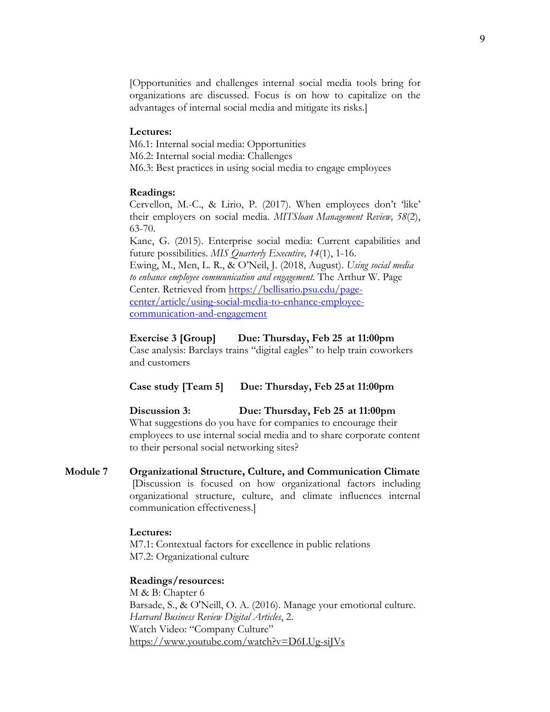[Opportunities and challenges internal social media tools bring for organizations are discussed. Focus is on how to capitalize on the advantages of internal social media and mitigate its risks.]

#### **Lectures:**

 M6.1: Internal social media: Opportunities M6.2: Internal social media: Challenges M6.3: Best practices in using social media to engage employees

#### **Readings:**

Cervellon, M.-C., & Lirio, P. (2017). When employees don't 'like' their employers on social media. *MITSloan Management Review, 58*(2), 63-70.

Kane, G. (2015). Enterprise social media: Current capabilities and future possibilities. *MIS Quarterly Executive, 14*(1), 1-16. Ewing, M., Men, L. R., & O'Neil, J. (2018, August). *Using social media to enhance employee communication and engagement.* The Arthur W. Page Center. Retrieved from https://bellisario.psu.edu/pagecenter/article/using-social-media-to-enhance-employeecommunication-and-engagement

#### **Exercise 3 [Group] Due: Thursday, Feb 25 at 11:00pm**

Case analysis: Barclays trains "digital eagles" to help train coworkers and customers

#### **Case study [Team 5] Due: Thursday, Feb 25 at 11:00pm**

**Discussion 3: Due: Thursday, Feb 25 at 11:00pm** What suggestions do you have for companies to encourage their employees to use internal social media and to share corporate content to their personal social networking sites?

**Module 7 Organizational Structure, Culture, and Communication Climate** [Discussion is focused on how organizational factors including organizational structure, culture, and climate influences internal communication effectiveness.]

### **Lectures:**

M7.1: Contextual factors for excellence in public relations M7.2: Organizational culture

#### **Readings/resources:**

M & B: Chapter 6 Barsade, S., & O'Neill, O. A. (2016). Manage your emotional culture. *Harvard Business Review Digital Articles*, 2. Watch Video: "Company Culture" https://www.youtube.com/watch?v=D6LUg-siJVs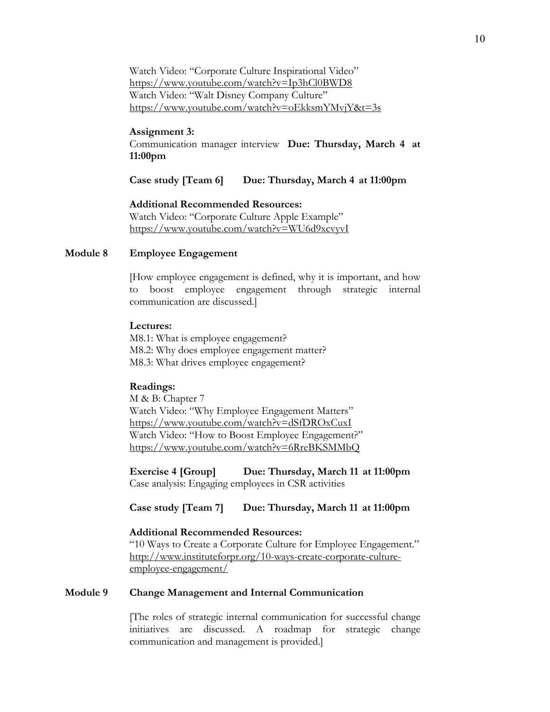Watch Video: "Corporate Culture Inspirational Video" https://www.youtube.com/watch?v=Ip3hCl0BWD8 Watch Video: "Walt Disney Company Culture" https://www.youtube.com/watch?v=oEkksmYMvjY&t=3s

#### **Assignment 3:**

Communication manager interview **Due: Thursday, March 4 at 11:00pm**

**Case study [Team 6] Due: Thursday, March 4 at 11:00pm**

#### **Additional Recommended Resources:**

Watch Video: "Corporate Culture Apple Example" https://www.youtube.com/watch?v=WU6d9xcvyvI

#### **Module 8 Employee Engagement**

[How employee engagement is defined, why it is important, and how to boost employee engagement through strategic internal communication are discussed.]

#### **Lectures:**

M8.1: What is employee engagement? M8.2: Why does employee engagement matter? M8.3: What drives employee engagement?

#### **Readings:**

M & B: Chapter 7 Watch Video: "Why Employee Engagement Matters" https://www.youtube.com/watch?v=dSfDROxCuxI Watch Video: "How to Boost Employee Engagement?" https://www.youtube.com/watch?v=6RreBKSMMbQ

**Exercise 4 [Group] Due: Thursday, March 11 at 11:00pm**  Case analysis: Engaging employees in CSR activities

#### **Case study [Team 7] Due: Thursday, March 11 at 11:00pm**

#### **Additional Recommended Resources:**

"10 Ways to Create a Corporate Culture for Employee Engagement." http://www.instituteforpr.org/10-ways-create-corporate-cultureemployee-engagement/

#### **Module 9 Change Management and Internal Communication**

[The roles of strategic internal communication for successful change initiatives are discussed. A roadmap for strategic change communication and management is provided.]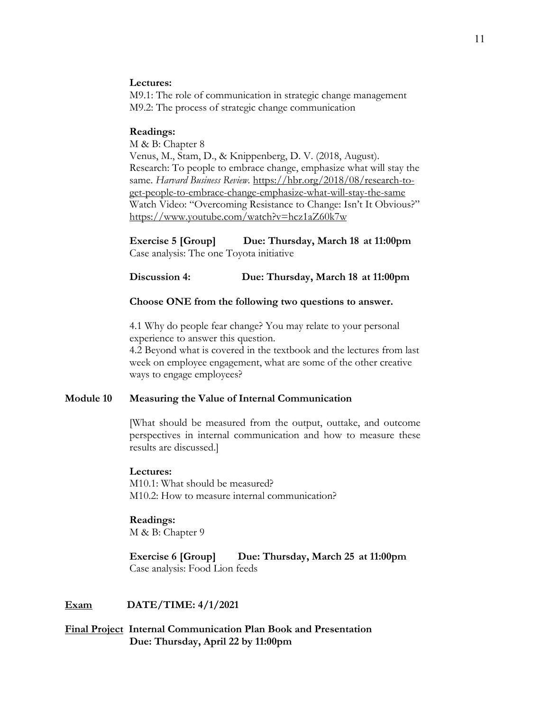#### **Lectures:**

M9.1: The role of communication in strategic change management M9.2: The process of strategic change communication

#### **Readings:**

M & B: Chapter 8 Venus, M., Stam, D., & Knippenberg, D. V. (2018, August). Research: To people to embrace change, emphasize what will stay the same. *Harvard Business Review.* https://hbr.org/2018/08/research-toget-people-to-embrace-change-emphasize-what-will-stay-the-same

Watch Video: "Overcoming Resistance to Change: Isn't It Obvious?" https://www.youtube.com/watch?v=hcz1aZ60k7w

**Exercise 5 [Group] Due: Thursday, March 18 at 11:00pm** Case analysis: The one Toyota initiative

#### **Discussion 4: Due: Thursday, March 18 at 11:00pm**

#### **Choose ONE from the following two questions to answer.**

4.1 Why do people fear change? You may relate to your personal experience to answer this question.

4.2 Beyond what is covered in the textbook and the lectures from last week on employee engagement, what are some of the other creative ways to engage employees?

#### **Module 10 Measuring the Value of Internal Communication**

[What should be measured from the output, outtake, and outcome perspectives in internal communication and how to measure these results are discussed.]

#### **Lectures:**

M10.1: What should be measured? M10.2: How to measure internal communication?

#### **Readings:**

M & B: Chapter 9

**Exercise 6 [Group] Due: Thursday, March 25 at 11:00pm** Case analysis: Food Lion feeds

#### **Exam DATE/TIME: 4/1/2021**

**Final Project Internal Communication Plan Book and Presentation Due: Thursday, April 22 by 11:00pm**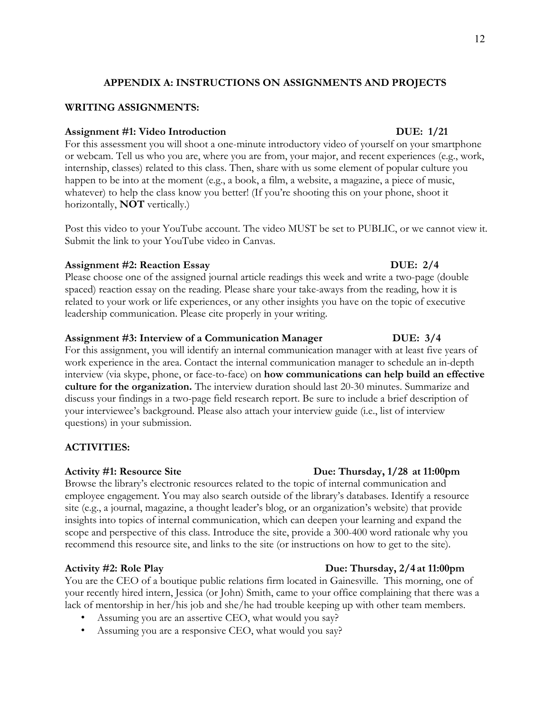## **APPENDIX A: INSTRUCTIONS ON ASSIGNMENTS AND PROJECTS**

### **WRITING ASSIGNMENTS:**

#### **Assignment #1: Video Introduction DUE: 1/21**

For this assessment you will shoot a one-minute introductory video of yourself on your smartphone or webcam. Tell us who you are, where you are from, your major, and recent experiences (e.g., work, internship, classes) related to this class. Then, share with us some element of popular culture you happen to be into at the moment (e.g., a book, a film, a website, a magazine, a piece of music, whatever) to help the class know you better! (If you're shooting this on your phone, shoot it horizontally, **NOT** vertically.)

Post this video to your YouTube account. The video MUST be set to PUBLIC, or we cannot view it. Submit the link to your YouTube video in Canvas.

#### **Assignment #2: Reaction Essay DUE: 2/4**

Please choose one of the assigned journal article readings this week and write a two-page (double spaced) reaction essay on the reading. Please share your take-aways from the reading, how it is related to your work or life experiences, or any other insights you have on the topic of executive leadership communication. Please cite properly in your writing.

### **Assignment #3: Interview of a Communication Manager DUE: 3/4**

For this assignment, you will identify an internal communication manager with at least five years of work experience in the area. Contact the internal communication manager to schedule an in-depth interview (via skype, phone, or face-to-face) on **how communications can help build an effective culture for the organization.** The interview duration should last 20-30 minutes. Summarize and discuss your findings in a two-page field research report. Be sure to include a brief description of your interviewee's background. Please also attach your interview guide (i.e., list of interview questions) in your submission.

## **ACTIVITIES:**

#### **Activity #1: Resource Site Due: Thursday, 1/28 at 11:00pm**

Browse the library's electronic resources related to the topic of internal communication and employee engagement. You may also search outside of the library's databases. Identify a resource site (e.g., a journal, magazine, a thought leader's blog, or an organization's website) that provide insights into topics of internal communication, which can deepen your learning and expand the scope and perspective of this class. Introduce the site, provide a 300-400 word rationale why you recommend this resource site, and links to the site (or instructions on how to get to the site).

#### Activity #2: Role Play Due: Thursday,  $2/4$  at 11:00pm

You are the CEO of a boutique public relations firm located in Gainesville. This morning, one of your recently hired intern, Jessica (or John) Smith, came to your office complaining that there was a lack of mentorship in her/his job and she/he had trouble keeping up with other team members.

- Assuming you are an assertive CEO, what would you say?
- Assuming you are a responsive CEO, what would you say?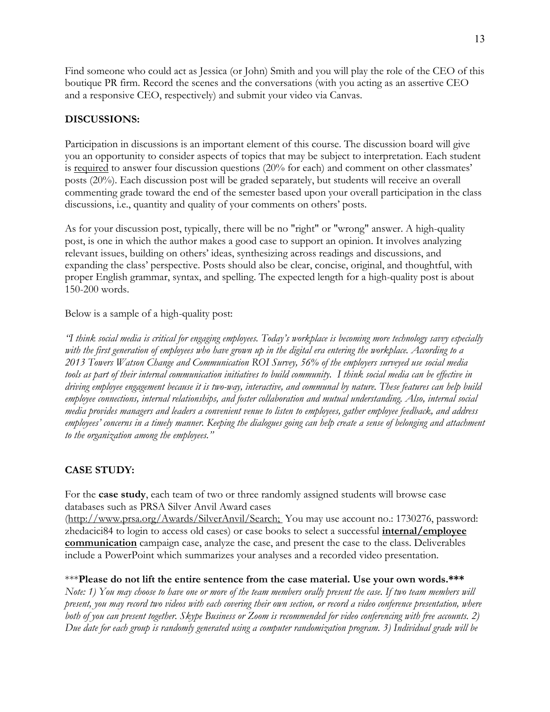Find someone who could act as Jessica (or John) Smith and you will play the role of the CEO of this boutique PR firm. Record the scenes and the conversations (with you acting as an assertive CEO and a responsive CEO, respectively) and submit your video via Canvas.

## **DISCUSSIONS:**

Participation in discussions is an important element of this course. The discussion board will give you an opportunity to consider aspects of topics that may be subject to interpretation. Each student is required to answer four discussion questions  $(20\%$  for each) and comment on other classmates' posts (20%). Each discussion post will be graded separately, but students will receive an overall commenting grade toward the end of the semester based upon your overall participation in the class discussions, i.e., quantity and quality of your comments on others' posts.

As for your discussion post, typically, there will be no "right" or "wrong" answer. A high-quality post, is one in which the author makes a good case to support an opinion. It involves analyzing relevant issues, building on others' ideas, synthesizing across readings and discussions, and expanding the class' perspective. Posts should also be clear, concise, original, and thoughtful, with proper English grammar, syntax, and spelling. The expected length for a high-quality post is about 150-200 words.

Below is a sample of a high-quality post:

*"I think social media is critical for engaging employees. Today's workplace is becoming more technology savvy especially with the first generation of employees who have grown up in the digital era entering the workplace. According to a 2013 Towers Watson Change and Communication ROI Survey, 56% of the employers surveyed use social media tools as part of their internal communication initiatives to build community. I think social media can be effective in driving employee engagement because it is two-way, interactive, and communal by nature. These features can help build employee connections, internal relationships, and foster collaboration and mutual understanding. Also, internal social media provides managers and leaders a convenient venue to listen to employees, gather employee feedback, and address employees' concerns in a timely manner. Keeping the dialogues going can help create a sense of belonging and attachment to the organization among the employees."*

## **CASE STUDY:**

For the **case study**, each team of two or three randomly assigned students will browse case databases such as PRSA Silver Anvil Award cases

(http://www.prsa.org/Awards/SilverAnvil/Search; You may use account no.: 1730276, password: zhedacici84 to login to access old cases) or case books to select a successful **internal/employee communication** campaign case, analyze the case, and present the case to the class. Deliverables include a PowerPoint which summarizes your analyses and a recorded video presentation.

\*\*\***Please do not lift the entire sentence from the case material. Use your own words.\*\*\*** *Note: 1) You may choose to have one or more of the team members orally present the case. If two team members will present, you may record two videos with each covering their own section, or record a video conference presentation, where both of you can present together. Skype Business or Zoom is recommended for video conferencing with free accounts. 2) Due date for each group is randomly generated using a computer randomization program. 3) Individual grade will be*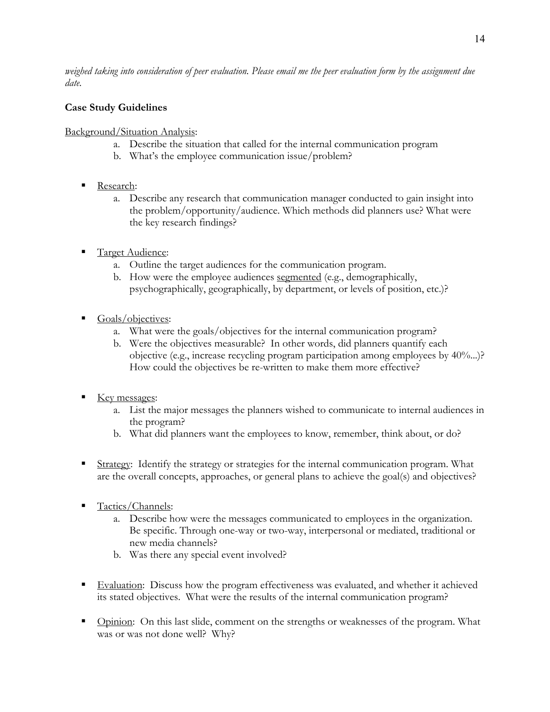*weighed taking into consideration of peer evaluation. Please email me the peer evaluation form by the assignment due date.* 

## **Case Study Guidelines**

Background/Situation Analysis:

- a. Describe the situation that called for the internal communication program
- b. What's the employee communication issue/problem?
- Research:
	- a. Describe any research that communication manager conducted to gain insight into the problem/opportunity/audience. Which methods did planners use? What were the key research findings?
- § Target Audience:
	- a. Outline the target audiences for the communication program.
	- b. How were the employee audiences segmented (e.g., demographically, psychographically, geographically, by department, or levels of position, etc.)?
- Goals/objectives:
	- a. What were the goals/objectives for the internal communication program?
	- b. Were the objectives measurable? In other words, did planners quantify each objective (e.g., increase recycling program participation among employees by 40%...)? How could the objectives be re-written to make them more effective?
- $\blacksquare$  Key messages:
	- a. List the major messages the planners wished to communicate to internal audiences in the program?
	- b. What did planners want the employees to know, remember, think about, or do?
- Strategy: Identify the strategy or strategies for the internal communication program. What are the overall concepts, approaches, or general plans to achieve the goal(s) and objectives?
- § Tactics/Channels:
	- a. Describe how were the messages communicated to employees in the organization. Be specific. Through one-way or two-way, interpersonal or mediated, traditional or new media channels?
	- b. Was there any special event involved?
- Evaluation: Discuss how the program effectiveness was evaluated, and whether it achieved its stated objectives. What were the results of the internal communication program?
- **•** Opinion: On this last slide, comment on the strengths or weaknesses of the program. What was or was not done well? Why?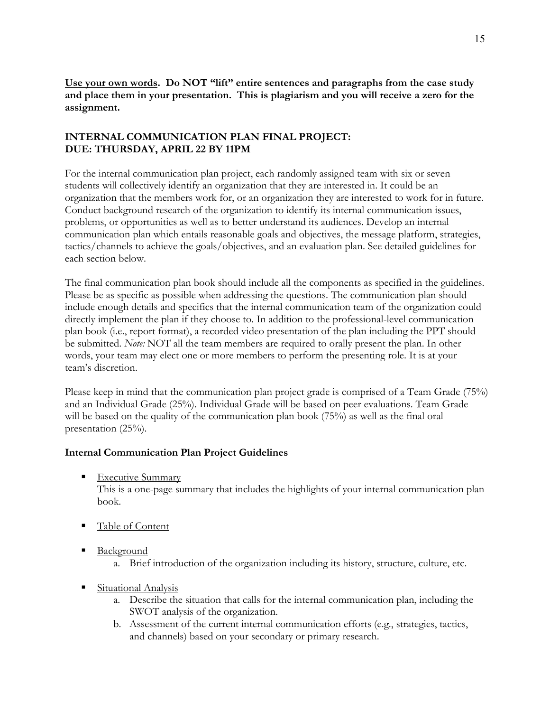**Use your own words. Do NOT "lift" entire sentences and paragraphs from the case study and place them in your presentation. This is plagiarism and you will receive a zero for the assignment.**

## **INTERNAL COMMUNICATION PLAN FINAL PROJECT: DUE: THURSDAY, APRIL 22 BY 11PM**

For the internal communication plan project, each randomly assigned team with six or seven students will collectively identify an organization that they are interested in. It could be an organization that the members work for, or an organization they are interested to work for in future. Conduct background research of the organization to identify its internal communication issues, problems, or opportunities as well as to better understand its audiences. Develop an internal communication plan which entails reasonable goals and objectives, the message platform, strategies, tactics/channels to achieve the goals/objectives, and an evaluation plan. See detailed guidelines for each section below.

The final communication plan book should include all the components as specified in the guidelines. Please be as specific as possible when addressing the questions. The communication plan should include enough details and specifics that the internal communication team of the organization could directly implement the plan if they choose to. In addition to the professional-level communication plan book (i.e., report format), a recorded video presentation of the plan including the PPT should be submitted. *Note:* NOT all the team members are required to orally present the plan. In other words, your team may elect one or more members to perform the presenting role. It is at your team's discretion.

Please keep in mind that the communication plan project grade is comprised of a Team Grade (75%) and an Individual Grade (25%). Individual Grade will be based on peer evaluations. Team Grade will be based on the quality of the communication plan book (75%) as well as the final oral presentation (25%).

## **Internal Communication Plan Project Guidelines**

■ Executive Summary

This is a one-page summary that includes the highlights of your internal communication plan book.

- Table of Content
- Background
	- a. Brief introduction of the organization including its history, structure, culture, etc.
- § Situational Analysis
	- a. Describe the situation that calls for the internal communication plan, including the SWOT analysis of the organization.
	- b. Assessment of the current internal communication efforts (e.g., strategies, tactics, and channels) based on your secondary or primary research.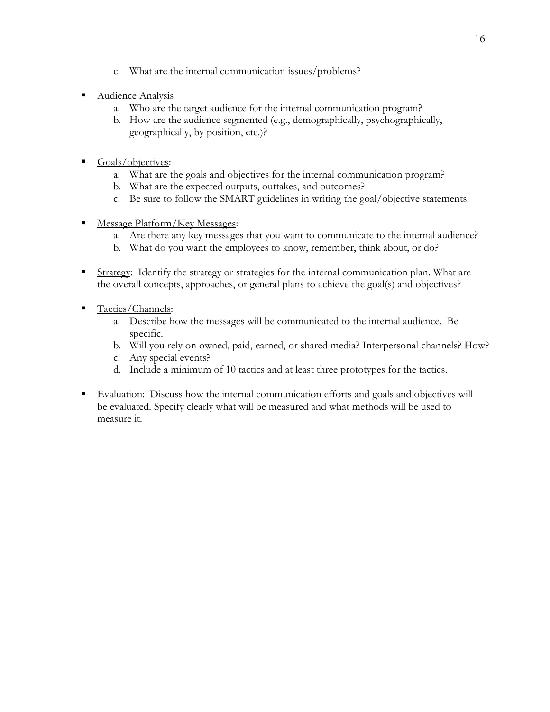- c. What are the internal communication issues/problems?
- § Audience Analysis
	- a. Who are the target audience for the internal communication program?
	- b. How are the audience segmented (e.g., demographically, psychographically, geographically, by position, etc.)?
- § Goals/objectives:
	- a. What are the goals and objectives for the internal communication program?
	- b. What are the expected outputs, outtakes, and outcomes?
	- c. Be sure to follow the SMART guidelines in writing the goal/objective statements.
- Message Platform/Key Messages:
	- a. Are there any key messages that you want to communicate to the internal audience?
	- b. What do you want the employees to know, remember, think about, or do?
- Strategy: Identify the strategy or strategies for the internal communication plan. What are the overall concepts, approaches, or general plans to achieve the goal(s) and objectives?
- Tactics/Channels:
	- a. Describe how the messages will be communicated to the internal audience. Be specific.
	- b. Will you rely on owned, paid, earned, or shared media? Interpersonal channels? How?
	- c. Any special events?
	- d. Include a minimum of 10 tactics and at least three prototypes for the tactics.
- Evaluation: Discuss how the internal communication efforts and goals and objectives will be evaluated. Specify clearly what will be measured and what methods will be used to measure it.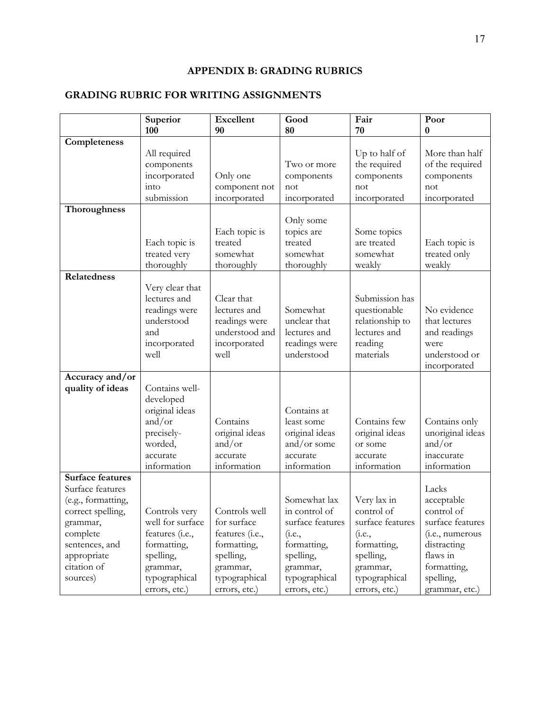## **APPENDIX B: GRADING RUBRICS**

## **GRADING RUBRIC FOR WRITING ASSIGNMENTS**

|                                                                                                                                     | Superior<br>100                                                                                             | <b>Excellent</b><br>90                                                                  | Good<br>80                                                                                                   | Fair<br>70                                                                                      | Poor<br>$\bf{0}$                                                                                                   |
|-------------------------------------------------------------------------------------------------------------------------------------|-------------------------------------------------------------------------------------------------------------|-----------------------------------------------------------------------------------------|--------------------------------------------------------------------------------------------------------------|-------------------------------------------------------------------------------------------------|--------------------------------------------------------------------------------------------------------------------|
| Completeness                                                                                                                        |                                                                                                             |                                                                                         |                                                                                                              |                                                                                                 |                                                                                                                    |
|                                                                                                                                     | All required<br>components<br>incorporated<br>into<br>submission                                            | Only one<br>component not<br>incorporated                                               | Two or more<br>components<br>not<br>incorporated                                                             | Up to half of<br>the required<br>components<br>not<br>incorporated                              | More than half<br>of the required<br>components<br>not<br>incorporated                                             |
| <b>Thoroughness</b>                                                                                                                 |                                                                                                             |                                                                                         |                                                                                                              |                                                                                                 |                                                                                                                    |
|                                                                                                                                     | Each topic is<br>treated very<br>thoroughly                                                                 | Each topic is<br>treated<br>somewhat<br>thoroughly                                      | Only some<br>topics are<br>treated<br>somewhat<br>thoroughly                                                 | Some topics<br>are treated<br>somewhat<br>weakly                                                | Each topic is<br>treated only<br>weakly                                                                            |
| Relatedness                                                                                                                         |                                                                                                             |                                                                                         |                                                                                                              |                                                                                                 |                                                                                                                    |
|                                                                                                                                     | Very clear that<br>lectures and<br>readings were<br>understood<br>and<br>incorporated<br>well               | Clear that<br>lectures and<br>readings were<br>understood and<br>incorporated<br>well   | Somewhat<br>unclear that<br>lectures and<br>readings were<br>understood                                      | Submission has<br>questionable<br>relationship to<br>lectures and<br>reading<br>materials       | No evidence<br>that lectures<br>and readings<br>were<br>understood or<br>incorporated                              |
| Accuracy and/or                                                                                                                     |                                                                                                             |                                                                                         |                                                                                                              |                                                                                                 |                                                                                                                    |
| quality of ideas                                                                                                                    | Contains well-<br>developed<br>original ideas<br>and/or<br>precisely-<br>worded,<br>accurate<br>information | Contains<br>original ideas<br>and/or<br>accurate<br>information                         | Contains at<br>least some<br>original ideas<br>and/or some<br>accurate<br>information                        | Contains few<br>original ideas<br>or some<br>accurate<br>information                            | Contains only<br>unoriginal ideas<br>and/or<br>inaccurate<br>information                                           |
| <b>Surface features</b>                                                                                                             |                                                                                                             |                                                                                         |                                                                                                              |                                                                                                 |                                                                                                                    |
| Surface features<br>(e.g., formatting,<br>correct spelling,<br>grammar,<br>complete<br>sentences, and<br>appropriate<br>citation of | Controls very<br>well for surface<br>features (i.e.,<br>formatting,<br>spelling,<br>grammar,                | Controls well<br>for surface<br>features (i.e.,<br>formatting,<br>spelling,<br>grammar, | Somewhat lax<br>in control of<br>surface features<br>( <i>i.e.</i> ,<br>formatting,<br>spelling,<br>grammar, | Very lax in<br>control of<br>surface features<br>(i.e.,<br>formatting,<br>spelling,<br>grammar, | Lacks<br>acceptable<br>control of<br>surface features<br>(i.e., numerous<br>distracting<br>flaws in<br>formatting, |
| sources)                                                                                                                            | typographical<br>errors, etc.)                                                                              | typographical<br>errors, etc.)                                                          | typographical<br>errors, etc.)                                                                               | typographical<br>errors, etc.)                                                                  | spelling,<br>grammar, etc.)                                                                                        |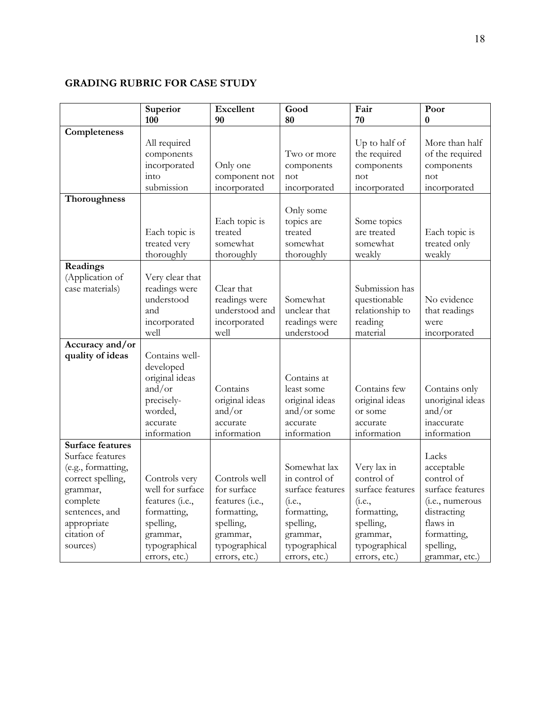## **GRADING RUBRIC FOR CASE STUDY**

|                         | Superior<br>100       | <b>Excellent</b><br>90   | Good<br>80                    | Fair<br>70              | Poor<br>$\bf{0}$           |
|-------------------------|-----------------------|--------------------------|-------------------------------|-------------------------|----------------------------|
| Completeness            |                       |                          |                               |                         |                            |
|                         | All required          |                          |                               | Up to half of           | More than half             |
|                         | components            |                          | Two or more                   | the required            | of the required            |
|                         | incorporated          | Only one                 | components                    | components              | components                 |
|                         | into                  | component not            | not                           | not                     | not                        |
|                         | submission            | incorporated             | incorporated                  | incorporated            | incorporated               |
| Thoroughness            |                       |                          |                               |                         |                            |
|                         |                       |                          | Only some                     |                         |                            |
|                         |                       | Each topic is            | topics are                    | Some topics             |                            |
|                         | Each topic is         | treated                  | treated                       | are treated             | Each topic is              |
|                         | treated very          | somewhat                 | somewhat                      | somewhat                | treated only               |
|                         | thoroughly            | thoroughly               | thoroughly                    | weakly                  | weakly                     |
| Readings                |                       |                          |                               |                         |                            |
| (Application of         | Very clear that       |                          |                               |                         |                            |
| case materials)         | readings were         | Clear that               |                               | Submission has          |                            |
|                         | understood            | readings were            | Somewhat                      | questionable            | No evidence                |
|                         | and                   | understood and           | unclear that                  | relationship to         | that readings              |
|                         | incorporated          | incorporated             | readings were                 | reading                 | were                       |
|                         | well                  | well                     | understood                    | material                | incorporated               |
| Accuracy and/or         |                       |                          |                               |                         |                            |
| quality of ideas        | Contains well-        |                          |                               |                         |                            |
|                         | developed             |                          |                               |                         |                            |
|                         | original ideas        |                          | Contains at                   |                         |                            |
|                         | and/or                | Contains                 | least some                    | Contains few            | Contains only              |
|                         | precisely-<br>worded, | original ideas<br>and/or | original ideas<br>and/or some | original ideas          | unoriginal ideas<br>and/or |
|                         | accurate              | accurate                 | accurate                      | or some                 | inaccurate                 |
|                         | information           | information              | information                   | accurate<br>information | information                |
| <b>Surface features</b> |                       |                          |                               |                         |                            |
| Surface features        |                       |                          |                               |                         | Lacks                      |
| (e.g., formatting,      |                       |                          | Somewhat lax                  | Very lax in             | acceptable                 |
| correct spelling,       | Controls very         | Controls well            | in control of                 | control of              | control of                 |
| grammar,                | well for surface      | for surface              | surface features              | surface features        | surface features           |
| complete                | features (i.e.,       | features (i.e.,          | ( <i>i.e.</i> ,               | (i.e.,                  | (i.e., numerous            |
| sentences, and          | formatting,           | formatting,              | formatting,                   | formatting,             | distracting                |
| appropriate             | spelling,             | spelling,                | spelling,                     | spelling,               | flaws in                   |
| citation of             | grammar,              | grammar,                 | grammar,                      | grammar,                | formatting,                |
| sources)                | typographical         | typographical            | typographical                 | typographical           | spelling,                  |
|                         | errors, etc.)         | errors, etc.)            | errors, etc.)                 | errors, etc.)           | grammar, etc.)             |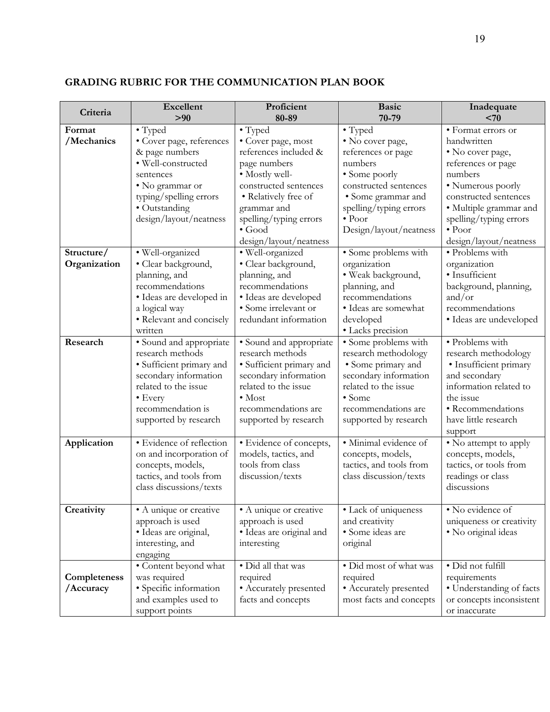| Criteria     | <b>Excellent</b><br>> 90                     | Proficient<br>80-89                           | <b>Basic</b><br>70-79                             | Inadequate<br>< 70                          |
|--------------|----------------------------------------------|-----------------------------------------------|---------------------------------------------------|---------------------------------------------|
| Format       | • Typed                                      | • Typed                                       | • Typed                                           | • Format errors or                          |
| /Mechanics   | • Cover page, references                     | · Cover page, most                            | · No cover page,                                  | handwritten                                 |
|              | & page numbers                               | references included &                         | references or page                                | • No cover page,                            |
|              | · Well-constructed                           | page numbers                                  | numbers                                           | references or page                          |
|              | sentences                                    | · Mostly well-                                | • Some poorly                                     | numbers                                     |
|              | • No grammar or                              | constructed sentences                         | constructed sentences                             | • Numerous poorly                           |
|              | typing/spelling errors                       | • Relatively free of                          | • Some grammar and                                | constructed sentences                       |
|              | • Outstanding                                | grammar and                                   | spelling/typing errors                            | · Multiple grammar and                      |
|              | design/layout/neatness                       | spelling/typing errors                        | $\bullet$ Poor                                    | spelling/typing errors                      |
|              |                                              | $\bullet$ Good                                | Design/layout/neatness                            | $\bullet$ Poor                              |
|              |                                              | design/layout/neatness                        |                                                   | design/layout/neatness                      |
| Structure/   | · Well-organized                             | · Well-organized                              | • Some problems with                              | • Problems with                             |
| Organization | · Clear background,                          | · Clear background,                           | organization                                      | organization                                |
|              | planning, and                                | planning, and                                 | · Weak background,                                | · Insufficient                              |
|              | recommendations                              | recommendations                               | planning, and<br>recommendations                  | background, planning,<br>and/or             |
|              | · Ideas are developed in<br>a logical way    | · Ideas are developed<br>· Some irrelevant or | · Ideas are somewhat                              | recommendations                             |
|              | · Relevant and concisely                     | redundant information                         | developed                                         | · Ideas are undeveloped                     |
|              | written                                      |                                               | · Lacks precision                                 |                                             |
| Research     | • Sound and appropriate                      | • Sound and appropriate                       | · Some problems with                              | · Problems with                             |
|              | research methods                             | research methods                              | research methodology                              | research methodology                        |
|              | · Sufficient primary and                     | · Sufficient primary and                      | • Some primary and                                | · Insufficient primary                      |
|              | secondary information                        | secondary information                         | secondary information                             | and secondary                               |
|              | related to the issue                         | related to the issue                          | related to the issue                              | information related to                      |
|              | • Every                                      | $\bullet$ Most                                | $\bullet$ Some                                    | the issue                                   |
|              | recommendation is                            | recommendations are                           | recommendations are                               | • Recommendations                           |
|              | supported by research                        | supported by research                         | supported by research                             | have little research                        |
|              |                                              |                                               |                                                   | support                                     |
| Application  | · Evidence of reflection                     | · Evidence of concepts,                       | · Minimal evidence of                             | • No attempt to apply                       |
|              | on and incorporation of                      | models, tactics, and<br>tools from class      | concepts, models,                                 | concepts, models,<br>tactics, or tools from |
|              | concepts, models,<br>tactics, and tools from | discussion/texts                              | tactics, and tools from<br>class discussion/texts | readings or class                           |
|              | class discussions/texts                      |                                               |                                                   | discussions                                 |
|              |                                              |                                               |                                                   |                                             |
| Creativity   | • A unique or creative                       | • A unique or creative                        | • Lack of uniqueness                              | • No evidence of                            |
|              | approach is used                             | approach is used                              | and creativity                                    | uniqueness or creativity                    |
|              | · Ideas are original,                        | · Ideas are original and                      | · Some ideas are                                  | · No original ideas                         |
|              | interesting, and                             | interesting                                   | original                                          |                                             |
|              | engaging                                     |                                               |                                                   |                                             |
|              | • Content beyond what                        | · Did all that was                            | · Did most of what was                            | · Did not fulfill                           |
| Completeness | was required                                 | required                                      | required                                          | requirements                                |
| /Accuracy    | · Specific information                       | • Accurately presented                        | • Accurately presented                            | • Understanding of facts                    |
|              | and examples used to                         | facts and concepts                            | most facts and concepts                           | or concepts inconsistent                    |
|              | support points                               |                                               |                                                   | or inaccurate                               |

## **GRADING RUBRIC FOR THE COMMUNICATION PLAN BOOK**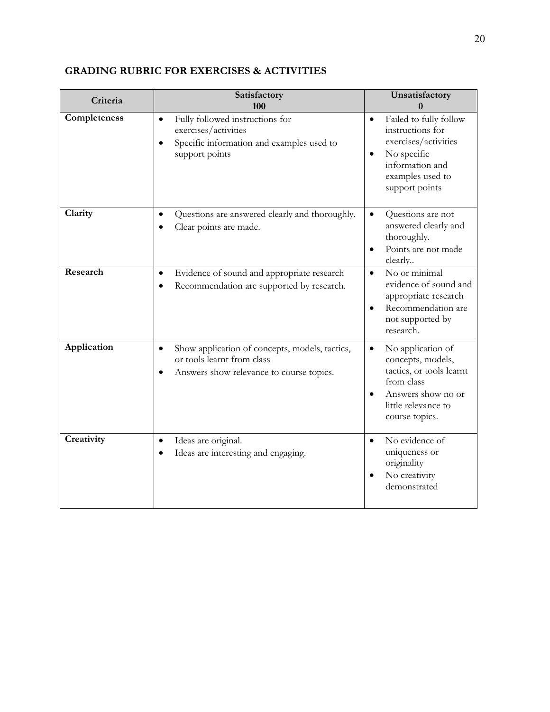| Criteria     | Satisfactory<br>100                                                                                                                              | Unsatisfactory<br>0                                                                                                                                          |
|--------------|--------------------------------------------------------------------------------------------------------------------------------------------------|--------------------------------------------------------------------------------------------------------------------------------------------------------------|
| Completeness | Fully followed instructions for<br>$\bullet$<br>exercises/activities<br>Specific information and examples used to<br>$\bullet$<br>support points | Failed to fully follow<br>$\bullet$<br>instructions for<br>exercises/activities<br>No specific<br>information and<br>examples used to<br>support points      |
| Clarity      | Questions are answered clearly and thoroughly.<br>$\bullet$<br>Clear points are made.                                                            | Questions are not<br>$\bullet$<br>answered clearly and<br>thoroughly.<br>Points are not made<br>$\bullet$<br>clearly                                         |
| Research     | Evidence of sound and appropriate research<br>$\bullet$<br>Recommendation are supported by research.                                             | No or minimal<br>$\bullet$<br>evidence of sound and<br>appropriate research<br>Recommendation are<br>٠<br>not supported by<br>research.                      |
| Application  | Show application of concepts, models, tactics,<br>$\bullet$<br>or tools learnt from class<br>Answers show relevance to course topics.            | No application of<br>$\bullet$<br>concepts, models,<br>tactics, or tools learnt<br>from class<br>Answers show no or<br>little relevance to<br>course topics. |
| Creativity   | Ideas are original.<br>$\bullet$<br>Ideas are interesting and engaging.<br>٠                                                                     | No evidence of<br>$\bullet$<br>uniqueness or<br>originality<br>No creativity<br>demonstrated                                                                 |

## **GRADING RUBRIC FOR EXERCISES & ACTIVITIES**